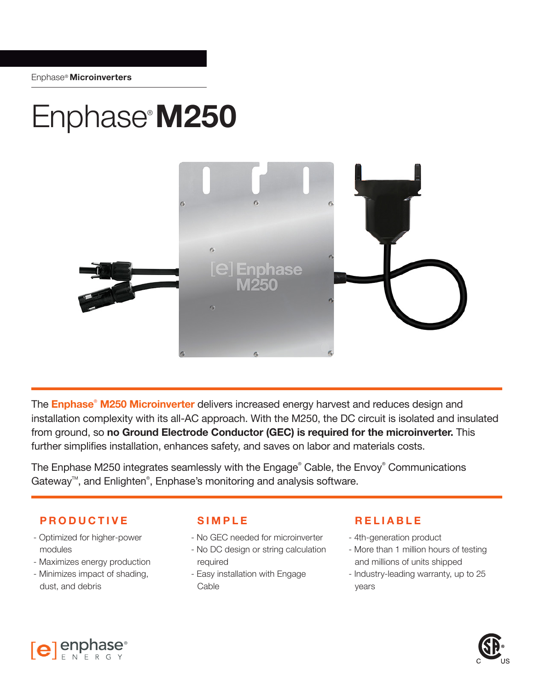## Enphase® **M250**



The **Enphase**®  **M250 Microinverter** delivers increased energy harvest and reduces design and installation complexity with its all-AC approach. With the M250, the DC circuit is isolated and insulated from ground, so **no Ground Electrode Conductor (GEC) is required for the microinverter.** This further simplifies installation, enhances safety, and saves on labor and materials costs.

The Enphase M250 integrates seamlessly with the Engage® Cable, the Envoy® Communications Gateway™, and Enlighten®, Enphase's monitoring and analysis software.

## **PRODUCTIVE SIMPLE RELIABLE**

- Optimized for higher-power modules
- Maximizes energy production
- Minimizes impact of shading, dust, and debris

 $[e]$  enphase

- No GEC needed for microinverter
- No DC design or string calculation required
- Easy installation with Engage Cable

- 4th-generation product
- More than 1 million hours of testing and millions of units shipped
- Industry-leading warranty, up to 25 years